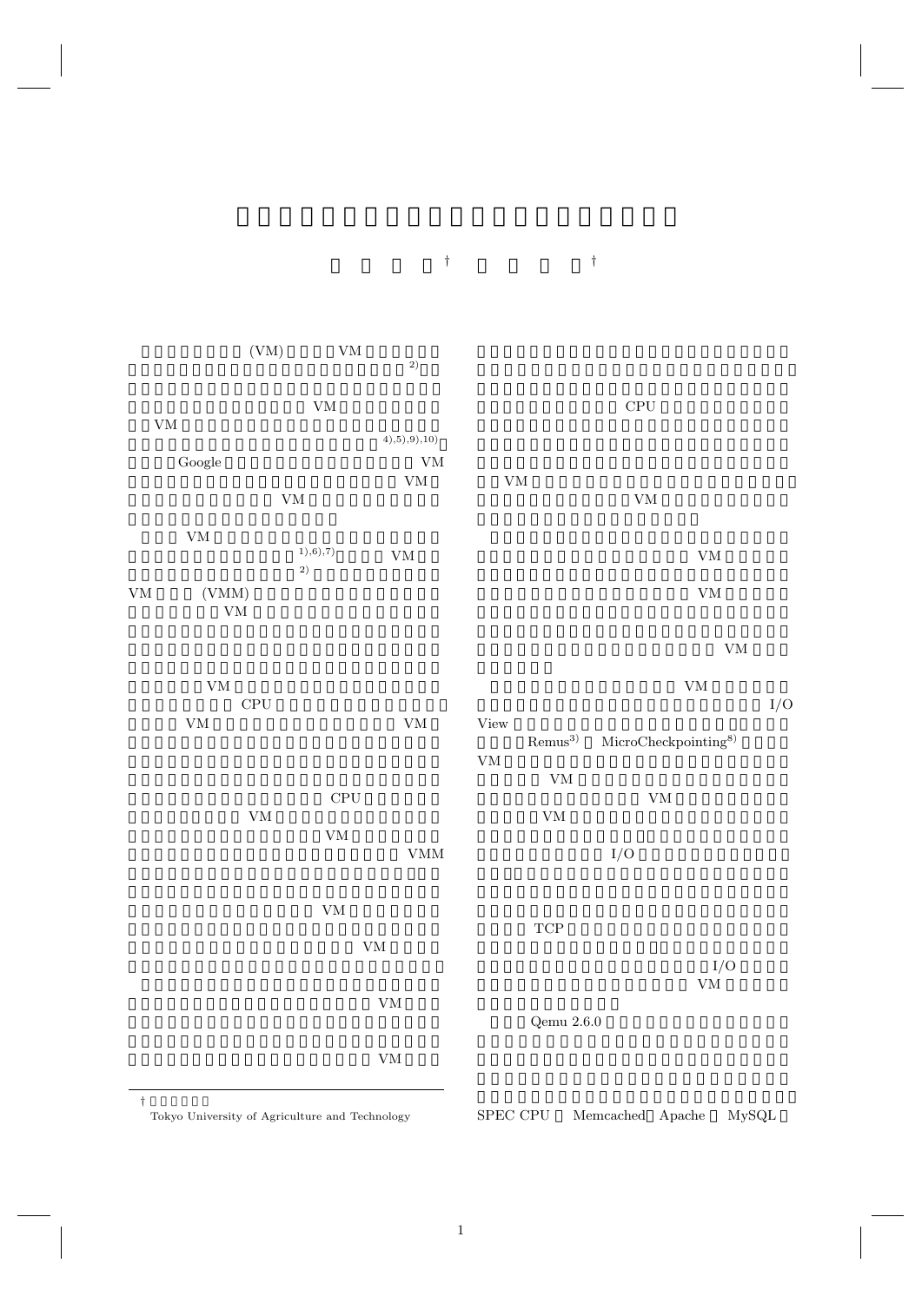

†<br>Tokyo University of Agriculture and Technology

SPEC CPU Memcached Apache MySQL